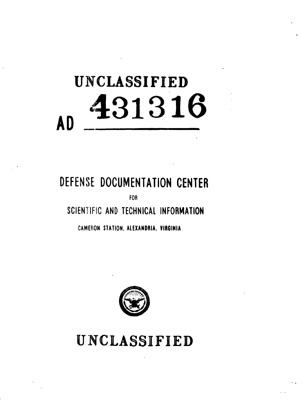# UNCLASSIFIED<br>**431316 AD \_\_** \_

## **DEFENS'E DOCUMENTATION CENTER**

FOR

### **SCIENTIFIC AND TECHNICAL** INFORMATION

**CAMEFION STATION.** ALEXANDRIA. VIRGINIA



**UNCLASSIFIED**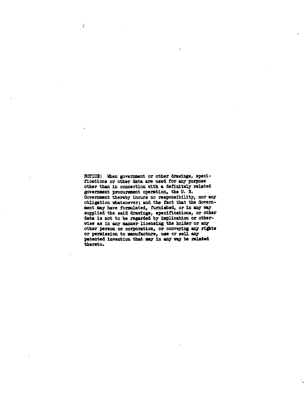NOTICE: When government or other drawings, specifications or other data are **used** for any purpose other than in connection with a definitely related government procurement operation, the **U. S.** Government thereby incurs no responsibility, nor any obligation whatsoever; and the fact that the Government may have formulated, furnished, or in **anmy** *way* supplied the said drawings, specifications, or other data **Is** not to be regarded **by** implication or otherwise as in any manner licensing the holder or **any** other person or corporation, or conveying any **ridhts** or **permission** to manufacture, use or **sell any** patented invention that **my** in *any* **way be related** thereto.

 $\prime$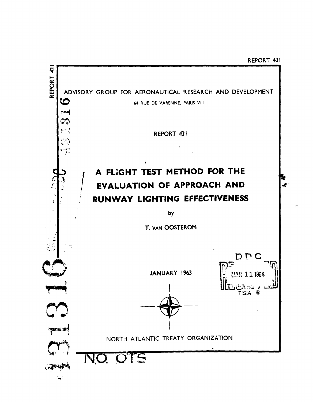REPORT 431

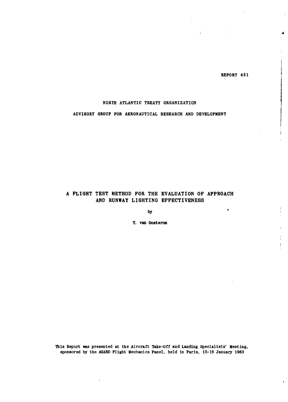REPORT 431

 $\bullet$ 

**A**

#### NORTH ATLANTIC TREATY ORGANIZATION

#### ADVISORY GROUP FOR **AERONAUTICAL** RESEARCH **AND DEVELOPMENT**

#### **A** FLIGHT **TEST** METHOD FOR THE EVALUATION OF APPROACH **AND** RUNWAY LIGHTING **EFFECTIVENESS**

**by**

T. van Oosterom

**This** Report was presented at the Aircraft Take-Off and Landing Specialists' Meeting, sponsored **by** the AGARD Flight Mechanics Panel, held in Paris, **15-18** January **1963**

 $\epsilon$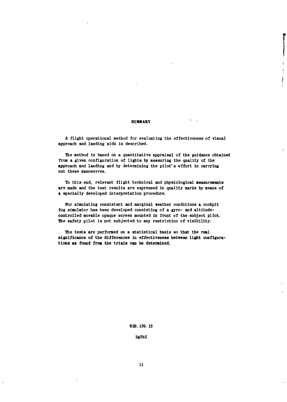#### SUMMARY

A flight operational method for evaluating the effectiveness of visual approach and landing aids is described.

The method is based on a quantitative appraisal of the guidance obtained from a given configuration of lights **by** measuring the quality of the approach and landing and **by** determining the pilot' s effort in carrying out these manoeuvres.

To this end, relevant flight technical and physiological measurements are made and the test results are expressed in quality marks **by** means of a specially developed interpretation procedure.

**For** simulating consistent and marginal weather conditions a cockpit fog simulator has been developed consisting of a gyro- and altitudecontrolled movable opaque screen mounted in front of the subject pilot. The safety pilot is not subjected to any restriction of visibility.

The tests are performed on a statistical basis so that the real significance of the differences in effectiveness between light configurations as found from the trials can be determined.

**629. 139.15**

**3g3b2**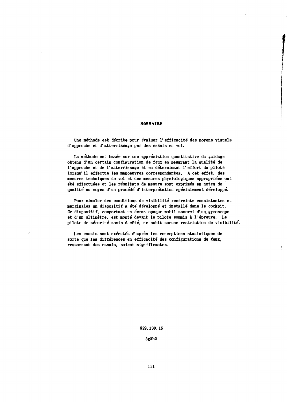#### S OMMAIRE

Une méthode est décrite pour évaluer l'efficacité des moyens visuels d' approche et d' atterrissage par des essais en vol.

La méthode est basée sur une appréciation quantitative du guidage obtenu d'un certain configuration de feux en mesurant la qualité de l'approche et de l'atterrissage et en déterminant l'effort du pilote lorsqu' ii effectue les manoeuvres correspondantes. **A** cet effet, des mesures techniques de vol et des mesures physiologiques appropriées ont été effectuées et les résultats de mesure sont exprimés en notes de qualité au moyen d'un procédé d'interprétation spécialement développé.

Pour simuler des conditions de visibilité restreinte consistantes et marginales un dispositif a été développé et installé dans le cockpit. Ce dispositif, comportant un écran opaque mobil asservi d'un gyroscope et d'un altimètre, est monté devant le pilote soumis à l'épreuve. Le pilote de sécurité assis à côté, ne subit aucune restriction de visibilité.

 $\ensuremath{\mathsf{T}}$ 

Les essais sont exécutés d'après les conceptions statistiques de sorte que les différences en efficacité des configurations de feux, ressortant des essais, soient significantes.

**629.139. 15**

**3g3b2**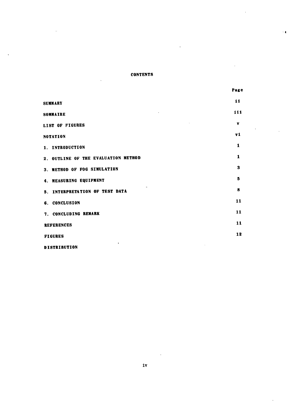#### **CONTENTS**

 $\overline{a}$ 

Page

 $\ddot{\phantom{1}}$ 

Ŷ

| SUMMARY                                        | 11  |
|------------------------------------------------|-----|
| SOMMAIRE                                       | 111 |
| <b>LIST OF FIGURES</b>                         | v   |
| NOTATION                                       | vi  |
| 1. INTRODUCTION                                | 1   |
| 2. OUTLINE OF THE EVALUATION METHOD            | 1   |
| 3. METHOD OF FOG SIMULATION                    | 3   |
| 4. MEASURING EQUIPMENT                         | 5   |
| $\mathbf{a}$<br>5. INTERPRETATION OF TEST DATA | 8   |
| 6. CONCLUSION                                  | 11  |
| 7. CONCLUDING REMARK                           | 11  |
| <b>REFERENCES</b>                              | 11  |
| <b>FIGURES</b>                                 | 12  |
| $\bullet$                                      |     |

**DISTRIBUTION**

 $\sim 10$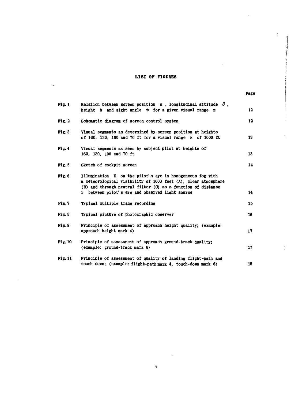#### **LIST OF FIGURES**

4

| <b>Fig. 1</b>  | Relation between screen position s, longitudinal attitude $\theta$ ,<br>height h and sight angle $\phi$ for a given visual range z                                                                                                             | 12 |
|----------------|------------------------------------------------------------------------------------------------------------------------------------------------------------------------------------------------------------------------------------------------|----|
| Fig. 2         | Schematic diagram of screen control system                                                                                                                                                                                                     | 12 |
| Fig. 3         | Visual segments as determined by screen position at heights<br>of 160, 130, 100 and 70 ft for a visual range $z$ of 1000 ft                                                                                                                    | 13 |
| Fig. 4         | Visual segments as seen by subject pilot at heights of<br>160, 130, 100 and 70 ft                                                                                                                                                              | 13 |
| Fig.5          | Sketch of cockpit screen                                                                                                                                                                                                                       | 14 |
| Fig.6          | Illumination E on the pilot's eye in homogeneous fog with<br>a meteorological visibility of 1000 feet (A), clear atmosphere<br>(B) and through neutral filter (C) as a function of distance<br>r between pilot's eye and observed light source | 14 |
| Fig.7          | Typical multiple trace recording                                                                                                                                                                                                               | 15 |
| Fig. 8         | Typical picture of photographic observer                                                                                                                                                                                                       | 16 |
| Fig. 9         | Principle of assessment of approach height quality; (example:<br>approach height mark 4)                                                                                                                                                       | 17 |
| <b>Fig. 10</b> | Principle of assessment of approach ground-track quality;<br>(example: ground-track mark 6)                                                                                                                                                    | 17 |
| <b>Fig. 11</b> | Principle of assessment of quality of landing flight-path and<br>touch-down; (example: flight-path mark 4, touch-down mark 6)                                                                                                                  | 18 |

**v**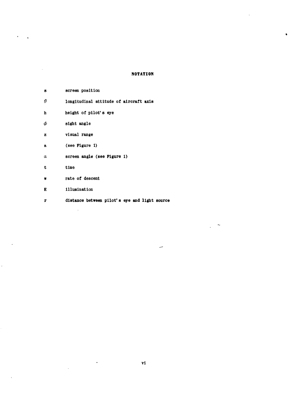#### **NOTATION**

| 8        | screen position                               |
|----------|-----------------------------------------------|
| $\theta$ | longitudinal attitude of aircraft axis        |
| h        | height of pilot's eye                         |
| $\phi$   | sight angle                                   |
| z        | visual range                                  |
| a        | (see Figure 1)                                |
| α        | screen angle (see Figure 1)                   |
| t        | time                                          |
| w        | rate of descent                               |
| Е        | illumination                                  |
| r        | distance between pilot's eye and light source |
|          |                                               |

 $\ddot{\phantom{a}}$ 

 $\ddot{\phantom{a}}$ 

 $\ddot{\phantom{0}}$ 

 $\epsilon$ 

 $\ddot{\phantom{a}}$ 

س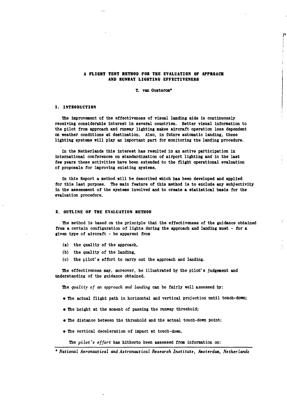#### **A FLIGHT TEST METHOD FOR THE EVALUATION OF APPROACH AND RUNWAY LIGHTING EFFECTIVENESS**

#### **T. van Oosterom\***

#### **1. INTRODUCTION**

**The** improvement of the effectiveness of visual landing aids is continuously receiving considerable interest in several countries. Better visual information to the pilot from approach and runway lighting makes aircraft operation less dependent on weather conditions at destination. Also, in future automatic landing, these lighting systems will play an important part for monitoring the landing procedure.

In the Netherlands this interest has resulted in an active participation in international conferences on standardization of airport lighting and in the last few years these activities have been extended to the flight operational evaluation of proposals for improving existing systems.

In this Report a method will be described which has been developed and applied for this last purpose. The main feature of this method is to exclude any subjectivity in the assessment of the systems involved and to create a statistical basis for the evaluation procedure.

#### **2. OUTLINE OF THE EVALUATION METHOD**

The method is based on the principle that the effectiveness of the guidance obtained from a certain configuration of lights during the approach and landing must **-** for a given type of aircraft **-** be apparent from

- (a) the quality of the approach,
- **(b)** the quality of the landing,
- **(c)** the pilot's effort to carry out the approach and landing.

The effectiveness may, moreover, be illustrated **by** the pilot's judgement and understanding of the guidance obtained.

The *quality of an approach and landing* can be fairly well assessed **by:**

- $\bullet$  The actual flight path in horizontal and vertical projection until touch-down;
- The height at the moment of passing the runway threshold;
- **"** The distance between the threshold and the actual touch-down point;
- $\bullet$  The vertical deceleration of impact at touch-down.

The pilot's effort has hitherto been assessed from information on:

*<sup>•</sup>* National Aeronautical and Astronautical Research Institute, Amsterdam, Netherlands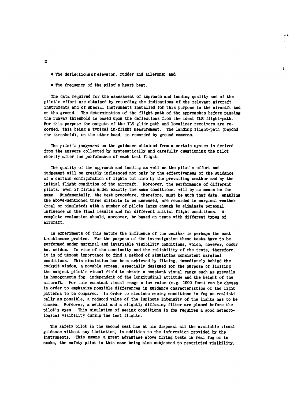- **"** The deflections of elevator, rudder and ailerons; and
- $\bullet$  The frequency of the pilot's heart beat.

The data required for the assessment of approach and landing quality and of the pilot's effort are obtained **by** recording the indications of the relevant aircraft instruments and of special instruments installed for this purpose in the aircraft and on the ground. The determination of the flight path of the approaches before passing the runway threshold is based upon the deflections from the ideal ILS flight-path. For this purpose the outputs of the **ILS** glide path and localizer receivers are recorded, this being a typical in-flight measurement. The landing flight-path (beyond the threshold), on the other hand, is recorded **by** ground cameras.

 $\bar{\chi}$ 

The pilot's *judgement* on the guidance obtained from a certain system is derived from the answers collected **by** systematically and carefully questioning the pilot shortly after the performance of each test flight.

The quality of the approach and landing as well as the pilot's effort and judgement will be greatly influenced not only **by** the effectiveness of the guidance of a certain configuration of lights but also **by** the prevailing weather and **by** the initial flight condition of the aircraft. Moreover, the performance of different pilots, even if flying under exactly the same conditions, will **by** no means be the same. Fundamentally, the test procedure, therefore, must be such that data, enabling the above-mentioned three criteria to be assessed, are recorded in marginal weather (real or simulated) with a number of pilots large enough to eliminate personal influence on the final results and for different initial flight conditions. A complete evaluation should, moreover, be based on tests with different types of aircraft.

In experiments of this nature the influence of the weather is perhaps the most troublesome problem. For the purpose of the investigation these tests have to be performed under marginal and invariable visibility conditions, which, however, occur but seldom. In view of the continuity and the reliability of the tests, therefore, it is of utmost importance to find a method of simulating consistent marginal conditions. This simulation has been achieved by fitting, immediately behind the cockpit window, a movable screen, especially designed for the purpose of limiting the subject pilot's visual field to obtain a constant visual range such as prevails in homogeneous fog, independent of the longitudinal attitude and the height of the aircraft. For this constant visual range a low value (e.g. **1000** feet) can be chosen in order to emphasize possible differences in guidance characteristics of the light patterns to be compared. In order to simulate seeing conditions in fog as realistically as possible, a reduced value of the luminous intensity of the lights has to be chosen. Moreover, a neutral and a slightly diffusing filter are placed before the pilot' s eyes. This simulation of seeing conditions in fog requires a good meteorological visibility during the test flights.

The safety pilot in the second seat has at his disposal all the available visual guidance without any limitation, in addition to the information provided **by** the instruments. This means a great advantage above flying tests in real fog or in smoke, the safety pilot in this case being also subjected to restricted visibility.

2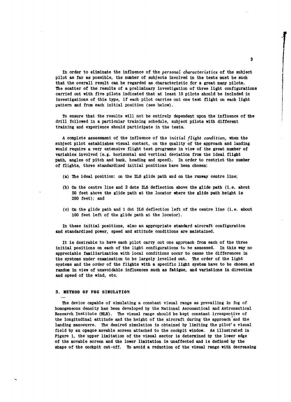In order to eliminate the influence of the personal characteristics of the subject pilot as far as possible, the number of subjects involved in the tests must be such that the overall result can be regarded as characteristic for a great many pilots. The scatter of the results of a preliminary investigation of three light configurations carried out with five pilots indicated that at least **15** pilots should be included in investigations of this type, if each pilot carries out one test flight on each light pattern and from each initial position (see below).

To ensure that the results will not be entirely dependent upon the influence of the drill followed in a particular training schedule, subject pilots with different training and experience should participate in the tests.

A complete assessment of the influence of the initial flight condition, when the subject pilot establishes visual contact, on the quality of the approach and landing would require a very extensive flight test programme in view of the great number of variables involved (e.g. horizontal and vertical deviation from the ideal flight path, angles of pitch and bank, heading and speed). In order to restrict the number of flights, three standardized initial positions have been chosen:

- (a) The ideal position: on the **ILS** glide path and on the runway centre line;
- **(b)** On the centre line and 2 dots ILS deflection above the glide path (i.e. about **50** feet above the glide path at the locator where the glide path height is 200 feet); and
- **(c)** On the glide path and **1** dot ILS deflection left of the centre line (i.e. about **<sup>100</sup>**feet left of the glide path at the locator).

In these initial positions, also an appropriate standard aircraft configuration and standardized power, speed and attitude conditions are maintained.

It is desirable to have each pilot carry out one approach from each of the three initial positions on each of the light configurations to be assessed. In this way no appreciable familiarization with local conditions occur to cause the differences in the systems under examination to be largely levelled out. The order of the light systems and the order of the flights with a specific light system have to be chosen at random in view of unavoidable influences such as fatigue, and variations in direction and speed of the wind, etc.

#### **3.** METHOD OF **FOG SIMULATION**

The device capable of simulating a constant visual range as prevailing in fog of homogeneous density has been developed **by** the National Aeronautical and Astronautical Research Institute (NLR). The visual range should be kept constant irrespective of the longitudinal attitude and the height of the aircraft during the approach **and** the landing manoeuvre. The desired simulation is obtained **by** limiting the pilot' **s** visual field **by** an opaque movable screen attached to the cockpit window. **As** illustrated in Figure **1,** the upper limitation of the visual sector is determined **by** the lower edge of the movable screen and the lower limitation is unaffected and is defined **by** the shape of the cockpit cut-off. To avoid a reduction of the visual range with decreasing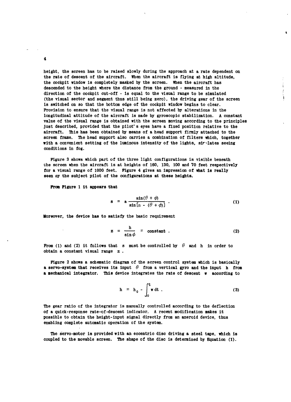height, the screen has to be raised slowly during the approach at a rate dependent on the rate of descent of the aircraft. When the aircraft is flying at high altitude, the cockpit window is completely masked **by** the screen. When the aircraft has descended to the height where the distance from the ground - measured in the direction of the cockpit cut-off - is equal to the visual range to be simulated (the visual sector and segment thus still being zero), the driving gear of the screen is switched on so that the bottom edge of the cockpit window begins to clear. Provision to ensure that the visual range is not affected **by** alterations in the longitudinal attitude of the aircraft is made **by** gyroscopic stabilization. A constant value of the visual range is obtained with the screen moving according to the principles just described, provided that the pilot' s eyes have a fixed position relative to the aircraft. This has been obtained by means of a head support firmly attached to the screen frame. The head support also carries a combination of filters which, together with a convenient setting of the luminous intensity of the lights, sir-ilates seeing conditions in fog.

Figure **3** shows which part of the three light configurations is visible beneath the screen when the aircraft is at heights of **160, 130, 100** and **70** feet respectively for a visual range of **1000** feet. Figure 4 gives an impression of what is really seen **oy** the subject pilot of the configurations at these heights.

From Figure **1** it appears that

$$
s = a \frac{\sin(\theta + \phi)}{\sin \left[\alpha - (\theta + \phi)\right]} \ . \tag{1}
$$

Moreover, the device has to satisfy the basic requirement

$$
z = \frac{h}{\sin \phi} = \text{constant} \tag{2}
$$

From (1) and (2) it follows that s must be controlled by  $\theta$  and h in order to obtain a constant visual range z **.**

Figure 2 shows a schematic diagram of the screen control system which is basically **a** servo-system that receives its input  $\theta$  from a vertical gyro and the input h from **a** mechanical integrator. This device integrates the rate of descent w according to

$$
h = h_0 - \int_0^t w dt
$$
 (3)

The gear ratio of the integrator is manually controlled according to the deflection of a quick-response rate-of-descent indicator. **A** recent modification makes it possible to obtain the height-input signal directly from an aneroid device, thus enabling complete automatic operation of the system.

The servo-motor is provided with an eccentric disc driving a steel tape, which is coupled to the movable screen. The shape of the disc is determined **by** Equation **(1).**

4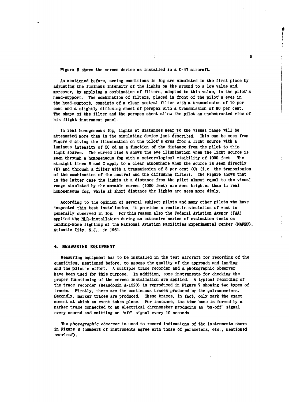Figure **5** shows the screen device as installed in a C-47 aircraft.

As mentioned before, seeing conditions in fog are simulated in the first place **by** adjusting the luminous intensity of the lights on the ground to a low value and, moreover, **by** applying a combination of filters, adapted to this value, in the pilot's head-support. The combination of filters, placed in front of the pilot's eyes in the head-support, consists of a clear neutral filter with a transmission of **10** per cent and a slightly diffusing sheet of perspex with a transmission of **80** per cent. The shape of the filter and the perspex sheet allow the pilot an unobstructed view of his flight instrument panel.

t

In real homogeneous fog, lights at distances near to the visual range will be attenuated more than in the simulating device just described. This can be seen from Figure **6** giving the illumination on the pilot's eyes from a light source with a luminous intensity of **50** cd as a function of the distance from the pilot to this light source. The curved line A shows the eye illumination when the light source is seen through a homogeneous fog with a meteorological visibility of **1000** feet. The straight lines B and **C** apply to a clear atmosphere when the source is seen directly (B) and through a filter with a transmission of **8** per cent **(C)** (i.e. the transmission of the combination of the neutral and the diffusing filter). The Figure shows that in the latter case the lights at a distance from the pilot almost equal to the visual range simulated **by** the movable screen **(1000** feet) are seen brighter than in real homogeneous fog, while at short distance the lights are seen more dimly.

According to the opinion of several subject pilots and many other pilots who have inspected this test installation, it provides a realistic simulation of what is generally observed in fog. For this reason also the Federal Aviation Agency **(FAA)** applied the NLR-installation during an extensive'series of evaluation tests on landing-zone lighting at the National Aviation Facilities Experimental Center **(NAFEC),** Atlantic City, **N.J.,** in **1961.**

#### 4. **MEASURING EQUIPMENT**

Measuring equipment has to be installed in the test aircraft for recording of the quantities, mentioned before, to assess the quality of the approach and landing and the pilot' s effort. **A** multiple trace recorder and a photographic observer have been used for this purpose. In addition, some instruments for checking the proper functioning of the screen installation are applied. **A** typical recording of the trace recorder (Beaudouin **A-1320)** is reproduced in Figure 7 showing two types of traces. Firstly, there are the continuous traces produced **by** the galvanometers. Secondly, marker traces are produced. These traces, in fact, only mark the exact moment at which an event takes place. For instance, the time base is formed **by** a marker trace connected to an electrical chronometer producing an 'on-off' signal every second and omitting an 'off signal every **10** seconds.

The *photographic observer* is used to record indications of the instruments shown in Figure **8** (numbers of instruments agree with those of parameters, etc., mentioned overleaf).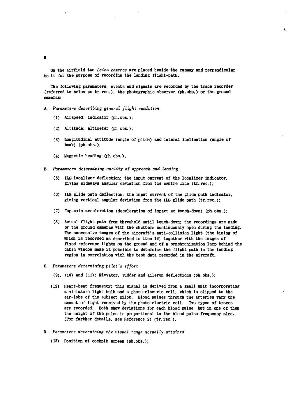On the airfield two Leica cameras are placed beside the runway and perpendicular to it for the purpose of recording the landing flight-path.

The following parameters, events and signals are recorded **by** the trace recorder (referred to below as tr.rec.), the photographic observer (ph.obs.) or the ground cameras:

- **A.** Parameters describing general flight condition
	- **(1)** Airspeed: indicator (ph.obs.);
	- (2) Altitude: altimeter **(ph** obs.);
	- **(3)** Longitudinal attitude (angle of pitch) and lateral inclination (angle of bank) (ph.obs.);
	- (4) Magnetic heading **(ph** obs.).
- B. *Parameters determining quality of approach and landing*
	- **(5)** ILS localizer deflection: the input current of the localizer indicator, giving sideways angular deviation from the centre line (tr. rec.);
	- **(6) ILS** glide path deflection: the input current of the glide path indicator, giving vertical angular deviation from the ILS glide path (tr.rec.);
	- **(7)** Top-axis acceleration (deceleration of impact at touch-down) (ph.obs.);
	- **(8)** Actual flight path from threshold until touch-down: the recordings are made **by** the ground cameras with the shutters continuously open during the landing. The successive images of the aircraft's anti-collision light (the timing of which is recorded as described in item **16)** together with the images of fixed reference lights on the ground and of a synchronization lamp behind the cabin window make it possible to determine the flight path in the landing region in correlation with the test data recorded in the aircraft.
- **C.** Parameters determining pilot's effort
	- **(9), (10)** and **(11):** Elevator, rudder and aileron deflections (ph.obs.);
	- (12) Heart-beat frequency: this signal is derived from a small unit incorporating a miniature light bulb and a photo-electric cell, which is clipped to the ear-lobe of the subject pilot. Blood pulses through the arteries vary the amount of light received **by** the photo-electric cell. Two types of traces are recorded. Both show deviations for each blood pulse, but in one of them the height of the pulse is proportional to the blood pulse frequency also. (For further details, see Reference 2) (tr.rec.).
- **D.** Parameters determining the visual range actually attained
	- **(13)** Position of cockpit screen (ph.obs.);

**6**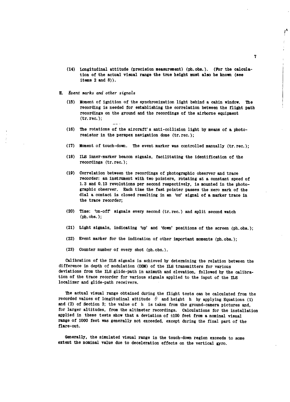- (14) Longitudinal attitude (precision measurement) (ph.obs.). (For the calculation of the actual visual range the true height must also be known (see items 2 and **8)).**
- **E.** Event marks and other signals
	- **(15)** Moment of ignition of the synchronization light behind a cabin window. The recording is needed for establishing the correlation between the flight path recordings on the ground and the recordings of the airborne equipment (tr. rec.);
	- **(16)** The rotations of the aircraft' s anti-collision light **by** means of a photoresistor in the perspex navigation dome (tr.rec.);
	- **(17)** Moment of touch-down. The event marker was controlled manually (tr.rec.);
	- **(18)** ILS inner-marker beacon signals, facilitating the identification of the recordings (tr. rec.);
	- **(19)** Correlation between the recordings of photographic observer and trace recorder: an instrument with two pointers, rotating at a constant speed of **1.3** and **0.13** revolutions per second respectively, is mounted in the photographic observer. Each time the fast pointer passes the zero mark of the dial a contact is closed resulting in an 'on' signal of a marker trace in the trace recorder;
	- (20) Time: 'on-off' signals every second (tr.rec.) and split second watch (ph. obs. );
	- (21) Light signals, indicating 'up' and 'down' positions of the screen (ph.obs.);
	- (22) Event marker for the indication of other important moments (ph.obs.);
	- **(23)** Counter number of every shot (ph.obs.).

Calibration of the ILS signals is achieved **by** determining the relation between the difference in depth of modulation **(DDM)** of the ILS transmitters for various deviations from the ILS glide-path in azimuth and elevation, followed **by** the calibration of the trace recorder for various signals applied to the input of the ILS localizer and glide-path receivers.

The actual visual range obtained during the flight tests can be calculated from the recorded values of longitudinal attitude  $\theta$  and height h by applying Equations **(1)** and (2) of Section **3;** the value of h is taken from the ground-camera pictures and, for larger altitudes, from the altimeter recordings. Calculations for the installation applied in these tests show that a deviation of **±100** feet from a nominal visual range of **1000** feet was generally not exceeded, except during the final part of the flare-out.

Generally, the simulated visual range in the touch-down region exceeds to some extent the nominal value due to deceleration effects on the vertical gyro.

 $\vec{r}$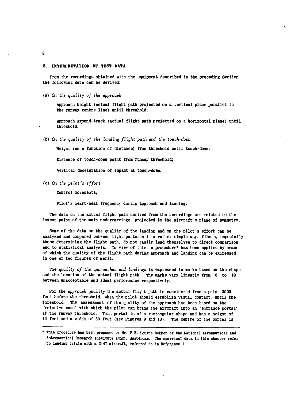#### **5. INTERPRETATION OF TEST DATA**

From the recordings obtained with the equipment described **in the preceding Section** the following data can be derived:

(a) **On** the quality of the approach

Approach height (actual flight path projected on a vertical plane parallel to the runway centre line) until threshold;

Approach ground-track (actual flight path projected on a horizontal plane) until threshold.

**(b) On** the quality of the landing flight path and the touch-down

Height (as a function of distance) from threshold until touch-down;

Distance of touch-down point from runway threshold;

Vertical deceleration of impact at touch-down.

(c) On the pilot's effort

Control movements;

Pilot's heart-beat frequency during approach and landing.

The data on the actual flight path derived from the recordings are related to the lowest point of the main undercarriage, projected to the aircraft's plane of symmetry.

Some of the data on the quality of the landing and on the pilot's effort can be analysed and compared between light patterns in a rather simple way. Others, especially those determining the flight path, do not easily lend themselves to direct comparison and to statistical analysis. In view of this, a procedure\* has been applied **by** means of which the quality of the flight path during approach and landing can be expressed in one or two figures of merit.

The quality of the approaches and landings is expressed in marks based on the shape and the location of the actual flight path. The marks vary linearly from **0** to **10** between unacceptable and ideal performance respectively.

For the approach quality the actual flight path is considered from a point **3000** feet before the threshold, when the pilot should establish visual contact, until the threshold. The assessment of the quality of the approach has been based on the 'relative ease' with **which** the pilot can bring the aircraft into an 'entrance portal' at the runway threshold. This portal is of a rectangular shape and has a height of **<sup>16</sup>**feet and a width of **30** feet (see Figures **9** and **10).** The centre of the portal is

**8**

This procedure has been proposed **by** Mr. **F.E.** Douwes Dekker of the National Aeronautical and Astronautical Research Institute (NLR), Amsterdam. The numerical data in this chapter refer to landing trials with a C-47 aircraft, referred to in Reference **1.**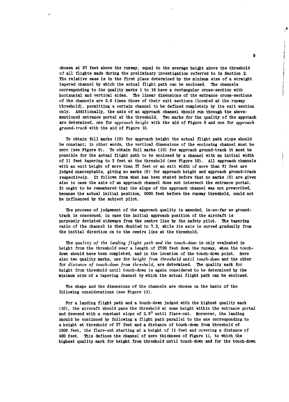chosen at **37** feet above the runway, equal to the average height above the threshold of all flights made during the preliminary investigation referred to in Section 2. The relative ease is in the first place determined **by** the minimum size of a straight tapered channel **by** which the actual flight path can be enclosed. The channels corresponding to the quality marks **1** to **10** have a rectangular cross-section with horizontal and vertical sides. The linear dimensions of the entrance cross-sections of the channels are **3.6** times those of their exit sections (located at the runway threshold), permitting a certain channel to be defined completely **by** its exit section only. Additionally, the axis of an approach channel should run through the abovementioned entrance portal at the threshold. Two marks for the quality of the approach are determined, one for *approach height* with the aid of Figure **9** and one for *approach* ground-track with the aid of Figure **10.**

To obtain full marks (10) for approach height the actual flight path slope should be constant; in other words, the vertical dimensions of the enclosing channel must be zero (see Figure **9).** To obtain full marks (10) for approach ground-track it must be possible for the actual flight path to be enclosed by a channel with an initial width of 11 feet tapering to **3** feet at the threshold (see Figure 10). **All** approach channels with an exit height of more than **27** feet or an exit width of more than **31** feet are judged unacceptable, giving no marks **(0)** for approach height and approach ground-track respectively. It follows from what has been stated before that no marks **(0)** are given also in case the axis of an approach channel does not intersect the entrance portal. It ought to be remembered that the slope of the approach channel was not prescribed, because the actual initial position, **3000** feet before the runway threshold, could not be influenced by the subject pilot.

The process of judgement of the approach quality is amended, in-so-far as groundtrack is concerned, in case the initial approach position of the aircraft is purposely deviated sideways from the centre line by the safety pilot. The tapering ratio of the channel is then doubled to **7.2,** while its axis is curved gradually from the initial direction on to the centre line at the threshold.

The *quality of the landing flight path and the touch-down* is only evaluated in height from the threshold over a length of 2700 feet down the runway, when the touchdown should have been completed, and in the location of the touch-down point. Here also two quality marks, one for *height from threshold until touch-down* and the other for *distance of touch-down from threshold,* are determined. The quality mark for height from threshold until touch-down is again considered to be determined by the minimum size of a tapering channel **by** which the actual flight path can be enclosed.

The shape and the dimensions of the channels are chosen on the basis of the following considerations (see Figure **11).**

For a landing flight path and a touch-down judged with the highest quality mark **(10),** the aircraft should pass the threshold at some height within the entrance portal and descend with a constant slope of **2.50** until flare-out. Moreover, the landing should be continued **by** following a flight path parallel to the one corresponding to a height at threshold of **37** feet and a distance of touch-down from threshold of **1000** feet, the flare-out starting at a height of **11** feet and covering a distance of 400 feet. This defines the channel of zero thickness of Figure **11,** to which the highest quality mark for height from threshold until touch-down and for the touch-down

**9**

پر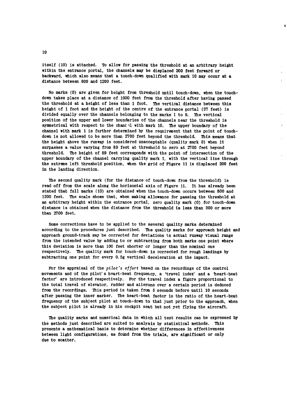itself **(10)** is attached. To allow for passing the threshold at an arbitrary height within the entrance portal, the channels may be displaced 200 feet forward or backward, which also means that a touch-down qualified with mark **10** may occur at a distance between **800** and 1200 feet.

 $\mathbf{r}$ 

No marks **(0)** are given for height from threshold until touch-down, when the touchdown takes place at a distance of **1000** feet from the threshold after having passed the threshold at a height of less than **1** foot. The vertical distance between this height of **1** foot and the height of the centre of the entrance portal **(37** feet) is divided equally over the channels belonging to the marks **1** to **9.** The vertical position of the upper and lower boundaries of the channels near the threshold is symmetrical with respect to the chant il with mark **10.** The upper boundary of the channel with mark **1** is further determined **by** the requirement that the point of touchdown is not allowed to be more than **2700** feet beyond the threshold, This means that the height above the runway is considered unacceptable (quality mark **0)** when it surpasses a value varying from **89** feet at threshold to zero at **2700** feet beyond threshold. The height of **89** feet corresponds with the point of intersection of the upper boundary of the channel carrying quality mark **1,** with the vertical line through the extreme left threshold position, when the grid of Figure **11** is displaced 200 feet in the landing direction.

The second quality mark (for the distance of touch-down from the threshold) is read off from the scale along the horizontal axis of Figure **11.** It has already been stated that full marks **(10)** are obtained when the touch-down occurs between **800** and 1200 feet. The scale shows that, when making allowance for passing the threshold at an arbitrary height within the entrance portal, zero quality mark **(0)** for touch-down distance is obtained when the distance from the threshold is less than **300** or more than **2700** feet.

Some corrections have to be applied to the several quality marks determined according to the procedures just described. The quality marks for approach height and approach ground-track may be corrected for deviations in actual runway visual range from the intended value **by** adding to or subtracting from both marks one point where this deviation is more than **100** feet shorter or longer than the nominal one respectively. The quality mark for touch-down is corrected for rough landings **by** subtracting one point for every **0. 5g** vertical deceleration at the impact.

For the appraisal of the pilot's effort based on the recordings of the control movements and of the pilot' s heart-beat frequency, a 'travel index' and a 'heart-beat factor' are introduced respectively. For the travel index a figure proportional to the total travel of elevator, rudder and ailerons over a certain period is deduced from the recordings. This period is taken from **5** seconds before until **10** seconds after passing the inner marker. The heart-beat factor is the ratio of the heart-beat frequency of the subject pilot at touch-down to that just prior to the approach, when the subject pilot is already in his cockpit seat but not yet flying the aircraft.

The quality marks and numerical data in which all test results can be expressed **by** the methods just described are suited to analysis **by** statistical methods. This presents a mathematical basis to determine whether differences in effectiveness between light configurations, as found from the trials, are significant or only due to scatter.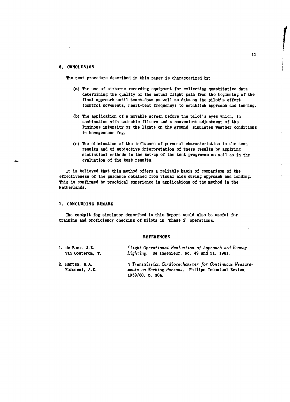#### **6. CONCLUSION**

The test procedure described in this paper is characterized **by:**

- (a) The use of airborne recording equipment for collecting quantitative data determining the quality of the actual flight path from the beginning of the final approach until touch-down as well as data on the pilot' s effort (control movements, heart-beat frequency) to establish approach and landing.
- **(b)** The application **of** a movable screen before the pilot' s eyes which, in combination with suitable filters and a convenient adjustment of the luminous intensity of the lights on the ground, simulates weather conditions in homogeneous fog.
- **(c)** The elimination of the influence of personal characteristics in the test results and of subjective interpretation of these results **by** applying statistical methods in the set-up of the test programme as well as in the evaluation of the test results.

It is believed that this method offers a reliable basis of comparison of the effectiveness of the guidance obtained from visual aids during approach and landing. This is confirmed **by** practical experience in applications of the method in the Netherlands.

#### **7. CONCLUDING** REMARK

The cockpit **fog** simulator described in this Report would also be useful for training and proficiency checking of pilots in 'phase **2'** operations.

#### **REFERENCES**

| 1. de Boer. J.B. | Flight Operational Evaluation of Approach and Runway    |
|------------------|---------------------------------------------------------|
| van Oosterom. T. | <i>Lighting.</i> De Ingenieur, No. 49 and 51, 1961.     |
| 2. Harten, G.A.  | A Transmission Cardiotachometer for Continuous Measure- |
| Koroncai, A.K.   | ments on Working Persons. Philips Technical Review,     |

**1959/60, p.** 304.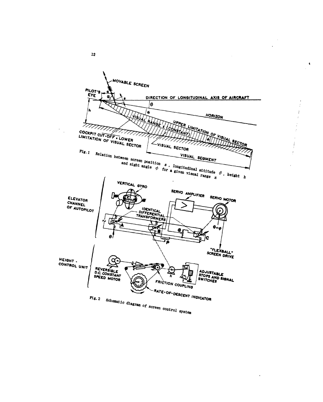

 $\ddot{\bullet}$ 

 $\bf{22}$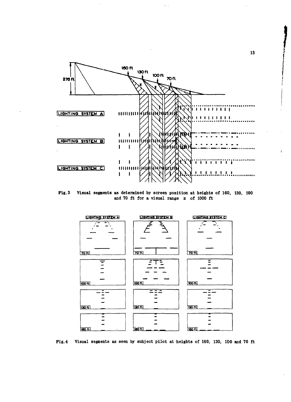

 $\zeta_{\rm{max}}$ 

 $Fig. 3$ Visual segments as determined by screen position at heights of 160, 130, 100 and 70 ft for a visual range z of 1000 ft



Fig. 4 Visual segments as seen by subject pilot at heights of 160, 130, 100 and 70 ft

13

À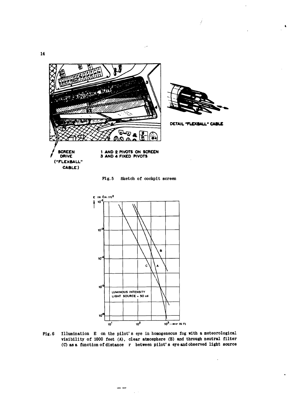14



 $Fig. 5$ Sketch of cockpit screen



Illumination E on the pilot's eye in homogeneous fog with a meteorological  $Fig.6$ visibility of 1000 feet (A), clear atmosphere (B) and through neutral filter (C) as a function of distance r between pilot's eye and observed light source

 $\mathcal{L}^{\text{max}}$ 

 $\ddot{\phantom{a}}$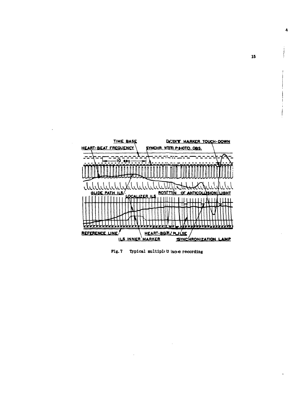



15

 $\overline{\mathbf{A}}$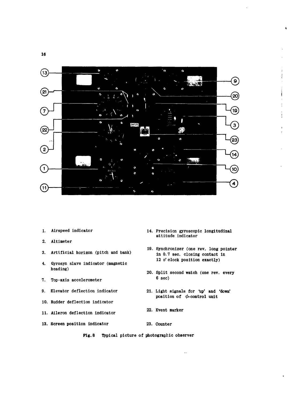

- **1. Airspeed indicator 14. Precision gyroscopic longitudinal**
- **2. Altimeter**
- **19. Synchronizer (one rev. long point in 19. sec. compared in 19. sec. compared in 19. sec. compared in 19. sec. compared in 19. sec. compared in 19. sec. compared in the sec. compared in the sec. compared in the sec. com**
- **4. Gyrosyn slave indicator (magnetic heading)**
- 
- 
- **10. Rudder deflection indicator**
- **11. Aileron deflection indicator 22. Event marker**
- **7.** Top-axis accelerometer 6 sec)
- **9. Elevator deflection indicator 21. Light signals for** 'up' **and 'down'** position of  $\phi$ -control unit

**19. Synchronizer (one rev, long pointer**

**12** o' **clock position exactly)**

**20. Split second watch (one rev, every**

**attitude indicator**

- 
- **13. Screen position indicator 23. Counter**
	- **Fig. 8 Typical picture of photographic observer**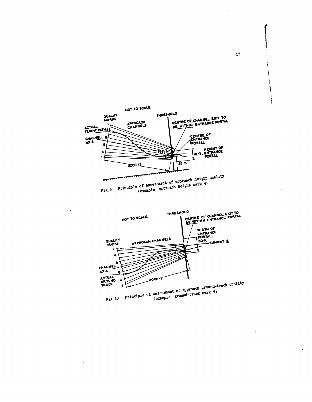

 $\frac{1}{\alpha}$ 



17

 $\overline{ }$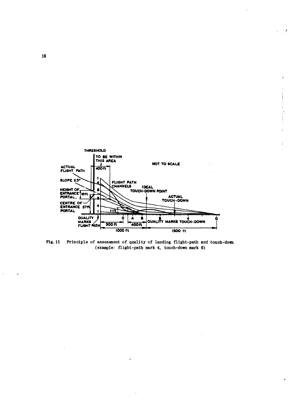

 $\cdot$ 

 $\hat{\mathbf{t}}$ 

Ŷ  $\mathbf{I}$ ÷  $\mathfrak t$  $\frac{1}{\sqrt{2}}$  $\mathbf{r}$ Ŷ, j

 $\frac{1}{4}$ 

ł.

Fig. 11 Principle of assessment of quality of landing flight-path and touch-down (example: flight-path mark 4, touch-down mark 6)

 $\mathbb{I}$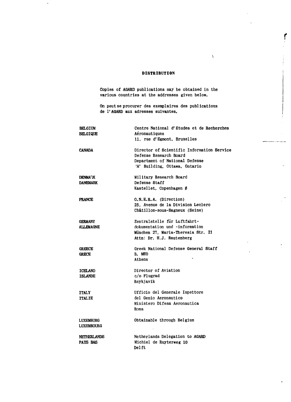#### **DISTRIBUTION**

l.

Copies of AGARD publications may be obtained in the various countries at the addresses given below.

On peutse procurer des exemplaires des publications de 1'AGARD aux adresses suivantes.

| <b>BELGIUM</b><br><b>BELGIQUE</b>  | Centre National d'Etudes et de Recherches<br>Aéronautiques<br>11, rue d'Egmont, Bruxelles                                               |
|------------------------------------|-----------------------------------------------------------------------------------------------------------------------------------------|
| <b>CANADA</b>                      | Director of Scientific Information Service<br>Defense Research Board<br>Department of National Defense<br>'A' Building, Ottawa, Ontario |
| <b>DENMARK</b><br><b>DANEMARK</b>  | Military Research Board<br>Defense Staff<br>Kastellet, Copenhagen Ø                                                                     |
| <b>FRANCE</b>                      | O.N.E.R.A. (Direction)<br>25. Avenue de la Division Leclerc<br>Châtillon-sous-Bagneux (Seine)                                           |
| <b>GERMANY</b><br><b>ALLEMAGNE</b> | Zentralstelle für Luftfahrt-<br>dokumentation und -information<br>München 27, Maria-Theresia Str. 21<br>Attn: Dr. H.J. Rautenberg       |
| <b>GREECE</b><br><b>GRECE</b>      | Greek National Defense General Staff<br>B. MEO<br>Athens                                                                                |
| <b>ICELAND</b><br><b>ISLANDE</b>   | Director of Aviation<br>c/o Flugrad<br>Revkjavik                                                                                        |
| <b>ITALY</b><br><b>ITALIE</b>      | Ufficio del Generale Ispettore<br>del Genio Aeronautico<br>Ministero Difesa Aeronautica<br>Roma                                         |
| LUXEMBURG<br>LUXEMBOURG            | Obtainable through Belgium                                                                                                              |
| NETHERLANDS<br>PAYS BAS            | Netherlands Delegation to AGARD<br>Michiel de Ruyterweg 10<br>Delft                                                                     |

 $\bar{\chi}$ 

ŗ

.<br>Na manazari mwaka wake alikuwa

 $\overline{a}$ 

 $\mathbf{r}$ 

 $\ddot{\phantom{a}}$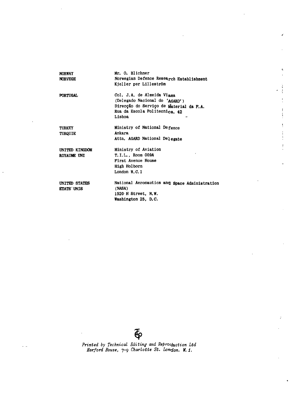| <b>NORWAY</b><br><b>NORVEGE</b>    | Mr. O. Blichner<br>Norwegian Defence Research Establishment<br>Kjeller per Lilleström                                                              |
|------------------------------------|----------------------------------------------------------------------------------------------------------------------------------------------------|
| <b>PORTUGAL</b>                    | Col. J.A. de Almeida Viama<br>(Delegado Nacional do 'AGARD')<br>Direcção do Serviço de Material da F.A.<br>Rua da Escola Politecnica, 42<br>Lisboa |
| <b>TURKEY</b><br><b>TURQUIE</b>    | Ministry of National Defence<br>Ankara<br>Attn, AGARD National Delegate                                                                            |
| UNITED KINGDOM<br>ROYAUME UNI      | Ministry of Aviation<br>T. I.L., Room 009A<br>First Avenue House<br>High Holborn<br>London $W.C.1$                                                 |
| UNITED STATES<br><b>ETATS UNIS</b> | National Aeronautics and Space Administration<br>(NASA)<br>1520 H Street, N.W.<br>Washington 25, D.C.                                              |

 $\overline{\Phi}$ 

*Printed by Technical Editing and ReProciuction Ltd Harford House, 7-9 Charlotte St. London. W. 1.*